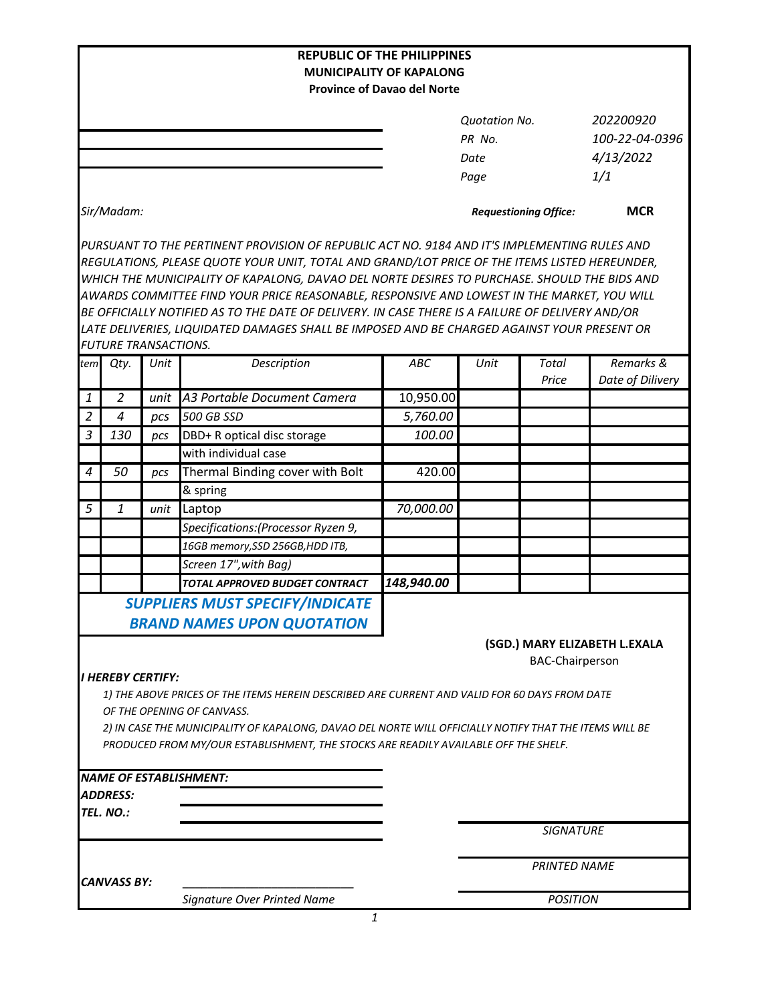|                                                         |                             |      | <b>REPUBLIC OF THE PHILIPPINES</b>                                                                                                                                                                                                                                                                                                                                                                                                                                                                                                                                                             |                                                                       |                              |                     |                  |
|---------------------------------------------------------|-----------------------------|------|------------------------------------------------------------------------------------------------------------------------------------------------------------------------------------------------------------------------------------------------------------------------------------------------------------------------------------------------------------------------------------------------------------------------------------------------------------------------------------------------------------------------------------------------------------------------------------------------|-----------------------------------------------------------------------|------------------------------|---------------------|------------------|
|                                                         |                             |      |                                                                                                                                                                                                                                                                                                                                                                                                                                                                                                                                                                                                | <b>MUNICIPALITY OF KAPALONG</b><br><b>Province of Davao del Norte</b> |                              |                     |                  |
|                                                         |                             |      |                                                                                                                                                                                                                                                                                                                                                                                                                                                                                                                                                                                                |                                                                       |                              |                     |                  |
|                                                         |                             |      |                                                                                                                                                                                                                                                                                                                                                                                                                                                                                                                                                                                                |                                                                       | <b>Quotation No.</b>         |                     | 202200920        |
|                                                         |                             |      |                                                                                                                                                                                                                                                                                                                                                                                                                                                                                                                                                                                                |                                                                       | PR No.                       |                     | 100-22-04-0396   |
|                                                         |                             |      |                                                                                                                                                                                                                                                                                                                                                                                                                                                                                                                                                                                                |                                                                       | Date                         |                     | 4/13/2022        |
|                                                         |                             |      |                                                                                                                                                                                                                                                                                                                                                                                                                                                                                                                                                                                                |                                                                       | Page                         |                     | 1/1              |
|                                                         | Sir/Madam:                  |      |                                                                                                                                                                                                                                                                                                                                                                                                                                                                                                                                                                                                |                                                                       | <b>Requestioning Office:</b> |                     | <b>MCR</b>       |
|                                                         | <b>FUTURE TRANSACTIONS.</b> |      | PURSUANT TO THE PERTINENT PROVISION OF REPUBLIC ACT NO. 9184 AND IT'S IMPLEMENTING RULES AND<br>REGULATIONS, PLEASE QUOTE YOUR UNIT, TOTAL AND GRAND/LOT PRICE OF THE ITEMS LISTED HEREUNDER,<br>WHICH THE MUNICIPALITY OF KAPALONG, DAVAO DEL NORTE DESIRES TO PURCHASE. SHOULD THE BIDS AND<br>AWARDS COMMITTEE FIND YOUR PRICE REASONABLE, RESPONSIVE AND LOWEST IN THE MARKET, YOU WILL<br>BE OFFICIALLY NOTIFIED AS TO THE DATE OF DELIVERY. IN CASE THERE IS A FAILURE OF DELIVERY AND/OR<br>LATE DELIVERIES, LIQUIDATED DAMAGES SHALL BE IMPOSED AND BE CHARGED AGAINST YOUR PRESENT OR |                                                                       |                              |                     |                  |
| tem                                                     | Qty.                        | Unit | Description                                                                                                                                                                                                                                                                                                                                                                                                                                                                                                                                                                                    | ABC                                                                   | Unit                         | <b>Total</b>        | Remarks &        |
|                                                         |                             |      |                                                                                                                                                                                                                                                                                                                                                                                                                                                                                                                                                                                                |                                                                       |                              | Price               | Date of Dilivery |
| 1                                                       | $\overline{2}$              | unit | A3 Portable Document Camera                                                                                                                                                                                                                                                                                                                                                                                                                                                                                                                                                                    | 10,950.00                                                             |                              |                     |                  |
| $\overline{2}$                                          | $\overline{4}$              | pcs  | 500 GB SSD                                                                                                                                                                                                                                                                                                                                                                                                                                                                                                                                                                                     | 5,760.00                                                              |                              |                     |                  |
| 3                                                       | 130                         | pcs  | DBD+ R optical disc storage                                                                                                                                                                                                                                                                                                                                                                                                                                                                                                                                                                    | 100.00                                                                |                              |                     |                  |
|                                                         |                             |      | with individual case                                                                                                                                                                                                                                                                                                                                                                                                                                                                                                                                                                           |                                                                       |                              |                     |                  |
| $\boldsymbol{4}$                                        | 50                          | pcs  | Thermal Binding cover with Bolt                                                                                                                                                                                                                                                                                                                                                                                                                                                                                                                                                                | 420.00                                                                |                              |                     |                  |
|                                                         |                             |      | & spring                                                                                                                                                                                                                                                                                                                                                                                                                                                                                                                                                                                       |                                                                       |                              |                     |                  |
| 5                                                       | 1                           | unit | Laptop                                                                                                                                                                                                                                                                                                                                                                                                                                                                                                                                                                                         | 70,000.00                                                             |                              |                     |                  |
|                                                         |                             |      | Specifications: (Processor Ryzen 9,                                                                                                                                                                                                                                                                                                                                                                                                                                                                                                                                                            |                                                                       |                              |                     |                  |
|                                                         |                             |      | 16GB memory, SSD 256GB, HDD ITB,                                                                                                                                                                                                                                                                                                                                                                                                                                                                                                                                                               |                                                                       |                              |                     |                  |
|                                                         |                             |      | Screen 17", with Bag)                                                                                                                                                                                                                                                                                                                                                                                                                                                                                                                                                                          |                                                                       |                              |                     |                  |
|                                                         |                             |      | <b>TOTAL APPROVED BUDGET CONTRACT</b>                                                                                                                                                                                                                                                                                                                                                                                                                                                                                                                                                          | 148,940.00                                                            |                              |                     |                  |
|                                                         |                             |      | <b>SUPPLIERS MUST SPECIFY/INDICATE</b><br><b>BRAND NAMES UPON QUOTATION</b>                                                                                                                                                                                                                                                                                                                                                                                                                                                                                                                    |                                                                       |                              |                     |                  |
| (SGD.) MARY ELIZABETH L.EXALA<br><b>BAC-Chairperson</b> |                             |      |                                                                                                                                                                                                                                                                                                                                                                                                                                                                                                                                                                                                |                                                                       |                              |                     |                  |
|                                                         | I HEREBY CERTIFY:           |      | 1) THE ABOVE PRICES OF THE ITEMS HEREIN DESCRIBED ARE CURRENT AND VALID FOR 60 DAYS FROM DATE<br>OF THE OPENING OF CANVASS.<br>2) IN CASE THE MUNICIPALITY OF KAPALONG, DAVAO DEL NORTE WILL OFFICIALLY NOTIFY THAT THE ITEMS WILL BE<br>PRODUCED FROM MY/OUR ESTABLISHMENT, THE STOCKS ARE READILY AVAILABLE OFF THE SHELF.                                                                                                                                                                                                                                                                   |                                                                       |                              |                     |                  |
|                                                         |                             |      | <b>NAME OF ESTABLISHMENT:</b>                                                                                                                                                                                                                                                                                                                                                                                                                                                                                                                                                                  |                                                                       |                              |                     |                  |
|                                                         | <b>ADDRESS:</b>             |      |                                                                                                                                                                                                                                                                                                                                                                                                                                                                                                                                                                                                |                                                                       |                              |                     |                  |
|                                                         | TEL. NO.:                   |      |                                                                                                                                                                                                                                                                                                                                                                                                                                                                                                                                                                                                |                                                                       |                              |                     |                  |
|                                                         |                             |      |                                                                                                                                                                                                                                                                                                                                                                                                                                                                                                                                                                                                |                                                                       |                              | <b>SIGNATURE</b>    |                  |
|                                                         | <b>CANVASS BY:</b>          |      |                                                                                                                                                                                                                                                                                                                                                                                                                                                                                                                                                                                                |                                                                       |                              | <b>PRINTED NAME</b> |                  |
|                                                         |                             |      | Signature Over Printed Name                                                                                                                                                                                                                                                                                                                                                                                                                                                                                                                                                                    |                                                                       | <b>POSITION</b>              |                     |                  |